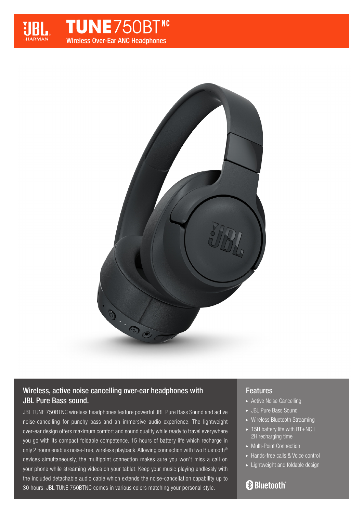

# **TUNE**750BT<sup>NC</sup> Wireless Over-Ear ANC Headphones



## Wireless, active noise cancelling over-ear headphones with JBL Pure Bass sound.

JBL TUNE 750BTNC wireless headphones feature powerful JBL Pure Bass Sound and active noise-cancelling for punchy bass and an immersive audio experience. The lightweight over-ear design offers maximum comfort and sound quality while ready to travel everywhere you go with its compact foldable competence. 15 hours of battery life which recharge in only 2 hours enables noise-free, wireless playback. Allowing connection with two Bluetooth® devices simultaneously, the multipoint connection makes sure you won't miss a call on your phone while streaming videos on your tablet. Keep your music playing endlessly with the included detachable audio cable which extends the noise-cancellation capability up to 30 hours. JBL TUNE 750BTNC comes in various colors matching your personal style.

### Features

- ▶ Active Noise Cancelling
- JBL Pure Bass Sound
- Wireless Bluetooth Streaming
- $\blacktriangleright$  15H battery life with BT+NC I 2H recharging time
- Multi-Point Connection
- Hands-free calls & Voice control
- **Lightweight and foldable design**

# **& Bluetooth**®